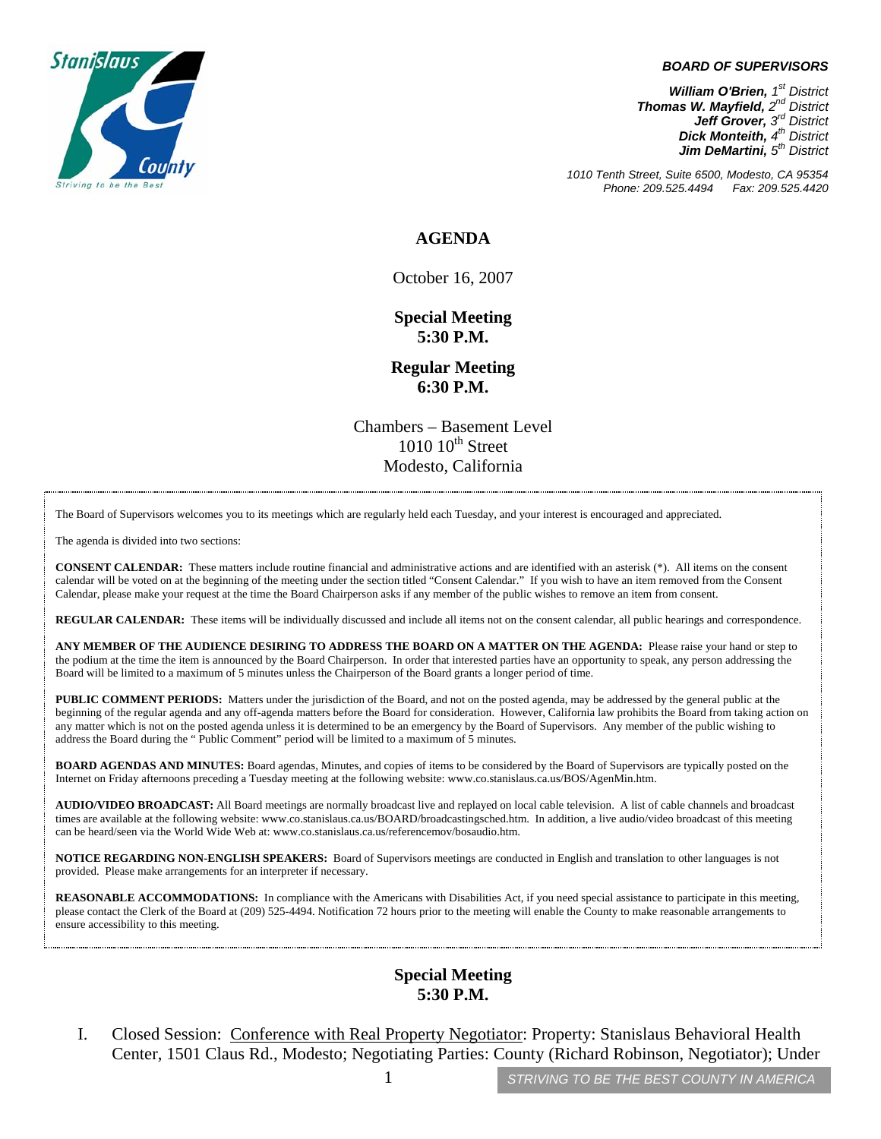

#### *BOARD OF SUPERVISORS*

*William O'Brien, 1st District Thomas W. Mayfield, 2nd District Jeff Grover, 3rd District Dick Monteith, 4th District*  **Jim DeMartini**,  $5<sup>th</sup>$  District

*1010 Tenth Street, Suite 6500, Modesto, CA 95354 Phone: 209.525.4494 Fax: 209.525.4420* 

### **AGENDA**

October 16, 2007

**Special Meeting 5:30 P.M.** 

**Regular Meeting 6:30 P.M.**

Chambers – Basement Level  $1010$   $10^{th}$  Street Modesto, California

The Board of Supervisors welcomes you to its meetings which are regularly held each Tuesday, and your interest is encouraged and appreciated.

The agenda is divided into two sections:

**CONSENT CALENDAR:** These matters include routine financial and administrative actions and are identified with an asterisk (\*). All items on the consent calendar will be voted on at the beginning of the meeting under the section titled "Consent Calendar." If you wish to have an item removed from the Consent Calendar, please make your request at the time the Board Chairperson asks if any member of the public wishes to remove an item from consent.

**REGULAR CALENDAR:** These items will be individually discussed and include all items not on the consent calendar, all public hearings and correspondence.

**ANY MEMBER OF THE AUDIENCE DESIRING TO ADDRESS THE BOARD ON A MATTER ON THE AGENDA:** Please raise your hand or step to the podium at the time the item is announced by the Board Chairperson. In order that interested parties have an opportunity to speak, any person addressing the Board will be limited to a maximum of 5 minutes unless the Chairperson of the Board grants a longer period of time.

**PUBLIC COMMENT PERIODS:** Matters under the jurisdiction of the Board, and not on the posted agenda, may be addressed by the general public at the beginning of the regular agenda and any off-agenda matters before the Board for consideration. However, California law prohibits the Board from taking action on any matter which is not on the posted agenda unless it is determined to be an emergency by the Board of Supervisors. Any member of the public wishing to address the Board during the " Public Comment" period will be limited to a maximum of 5 minutes.

**BOARD AGENDAS AND MINUTES:** Board agendas, Minutes, and copies of items to be considered by the Board of Supervisors are typically posted on the Internet on Friday afternoons preceding a Tuesday meeting at the following website: [www.co.stanislaus.ca.us/BOS/AgenMin.htm.](http://www.co.stanislaus.ca.us/BOS/AgenMin.htm)

**AUDIO/VIDEO BROADCAST:** All Board meetings are normally broadcast live and replayed on local cable television. A list of cable channels and broadcast times are available at the following website: [www.co.stanislaus.ca.us/BOARD/broadcastingsched.htm](http://www.co.stanislaus.ca.us/BOARD/broadcastingsched.htm). In addition, a live audio/video broadcast of this meeting can be heard/seen via the World Wide Web at: [www.co.stanislaus.ca.us/referencemov/bosaudio.htm.](http://www.co.stanislaus.ca.us/referencemov/bosaudio.htm)

**NOTICE REGARDING NON-ENGLISH SPEAKERS:** Board of Supervisors meetings are conducted in English and translation to other languages is not provided. Please make arrangements for an interpreter if necessary.

**REASONABLE ACCOMMODATIONS:** In compliance with the Americans with Disabilities Act, if you need special assistance to participate in this meeting, please contact the Clerk of the Board at (209) 525-4494. Notification 72 hours prior to the meeting will enable the County to make reasonable arrangements to ensure accessibility to this meeting.

### **Special Meeting 5:30 P.M.**

I. Closed Session: Conference with Real Property Negotiator: Property: Stanislaus Behavioral Health Center, 1501 Claus Rd., Modesto; Negotiating Parties: County (Richard Robinson, Negotiator); Under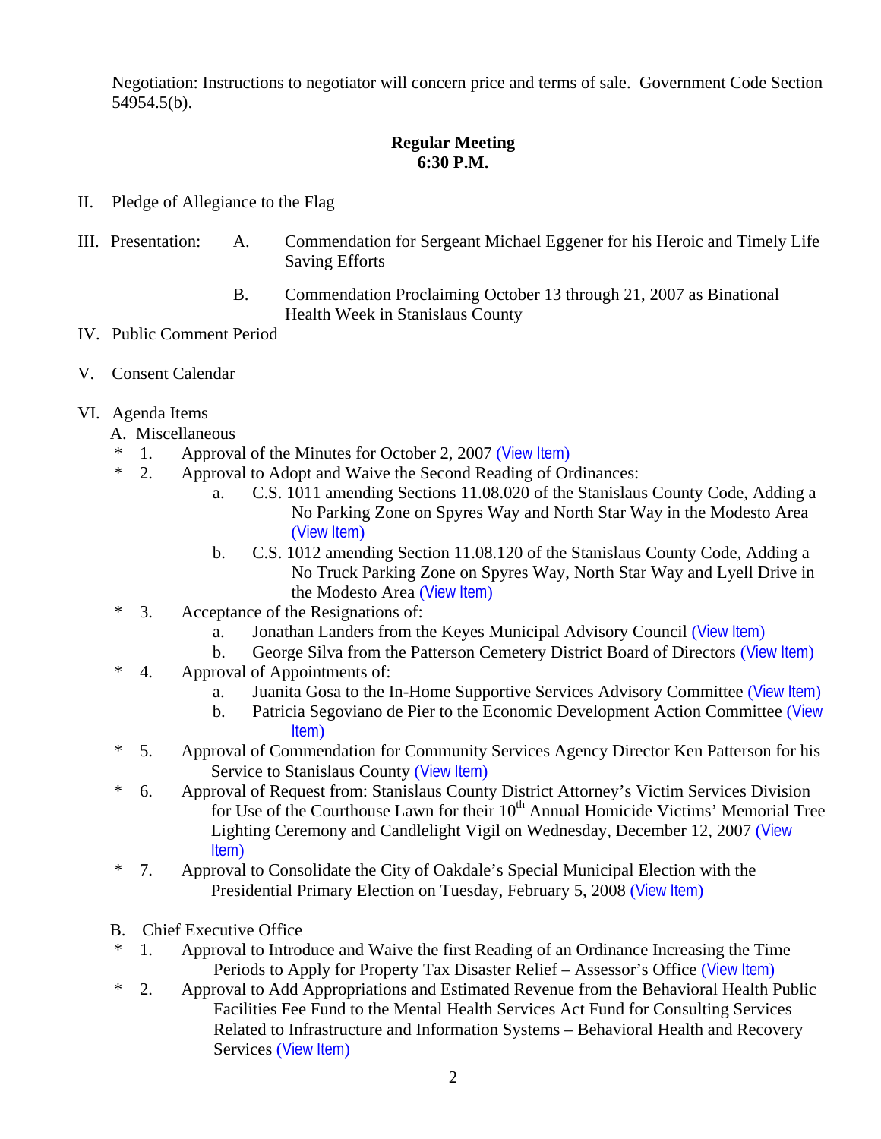Negotiation: Instructions to negotiator will concern price and terms of sale. Government Code Section 54954.5(b).

## **Regular Meeting 6:30 P.M.**

- II. Pledge of Allegiance to the Flag
- III. Presentation: A. Commendation for Sergeant Michael Eggener for his Heroic and Timely Life Saving Efforts
	- B. Commendation Proclaiming October 13 through 21, 2007 as Binational Health Week in Stanislaus County
- IV. Public Comment Period
- V. Consent Calendar
- VI. Agenda Items
	- A. Miscellaneous
	- \* 1. Approval of the Minutes for October 2, 2007 ([View Item](http://www.co.stanislaus.ca.us/bos/minutes/2007/min10-02-07.pdf))
	- \* 2. Approval to Adopt and Waive the Second Reading of Ordinances:
		- a. C.S. 1011 amending Sections 11.08.020 of the Stanislaus County Code, Adding a No Parking Zone on Spyres Way and North Star Way in the Modesto Area ([View Item](http://www.co.stanislaus.ca.us/bos/agenda/2007/20071016/A02a.pdf))
		- b. C.S. 1012 amending Section 11.08.120 of the Stanislaus County Code, Adding a No Truck Parking Zone on Spyres Way, North Star Way and Lyell Drive in the Modesto Area ([View Item](http://www.co.stanislaus.ca.us/bos/agenda/2007/20071016/A02b.pdf))
	- \* 3. Acceptance of the Resignations of:
		- a. Jonathan Landers from the Keyes Municipal Advisory Council ([View Item](http://www.co.stanislaus.ca.us/bos/agenda/2007/20071016/A03a.pdf))
		- b. George Silva from the Patterson Cemetery District Board of Directors ([View Item](http://www.co.stanislaus.ca.us/bos/agenda/2007/20071016/A03b.pdf))
	- \* 4. Approval of Appointments of:
		- a. Juanita Gosa to the In-Home Supportive Services Advisory Committee ([View Item](http://www.co.stanislaus.ca.us/bos/agenda/2007/20071016/A04a.pdf))
		- b. Patricia Segoviano de Pier to the Economic Development Action Committee (View Item)
	- \* 5. Approval of Commendation for Community Services Agency Director Ken Patterson for his Service to Stanislaus County ([View Item](http://www.co.stanislaus.ca.us/bos/agenda/2007/20071016/A05.pdf))
	- \* 6. Approval of Request from: Stanislaus County District Attorney's Victim Services Division for Use of the Courthouse Lawn for their  $10<sup>th</sup>$  Annual Homicide Victims' Memorial Tree Lighting Ceremony and Candlelight Vigil on Wednesday, December 12, 2007 ([View](http://www.co.stanislaus.ca.us/bos/agenda/2007/20071016/A06.pdf)  Item)
	- \* 7. Approval to Consolidate the City of Oakdale's Special Municipal Election with the Presidential Primary Election on Tuesday, February 5, 2008 ([View Item](http://www.co.stanislaus.ca.us/bos/agenda/2007/20071016/A07.pdf))
	- B. Chief Executive Office
	- \* 1. Approval to Introduce and Waive the first Reading of an Ordinance Increasing the Time Periods to Apply for Property Tax Disaster Relief – Assessor's Office ([View Item](http://www.co.stanislaus.ca.us/bos/agenda/2007/20071016/B01.pdf))
	- \* 2. Approval to Add Appropriations and Estimated Revenue from the Behavioral Health Public Facilities Fee Fund to the Mental Health Services Act Fund for Consulting Services Related to Infrastructure and Information Systems – Behavioral Health and Recovery Services ([View Item](http://www.co.stanislaus.ca.us/bos/agenda/2007/20071016/B02.pdf))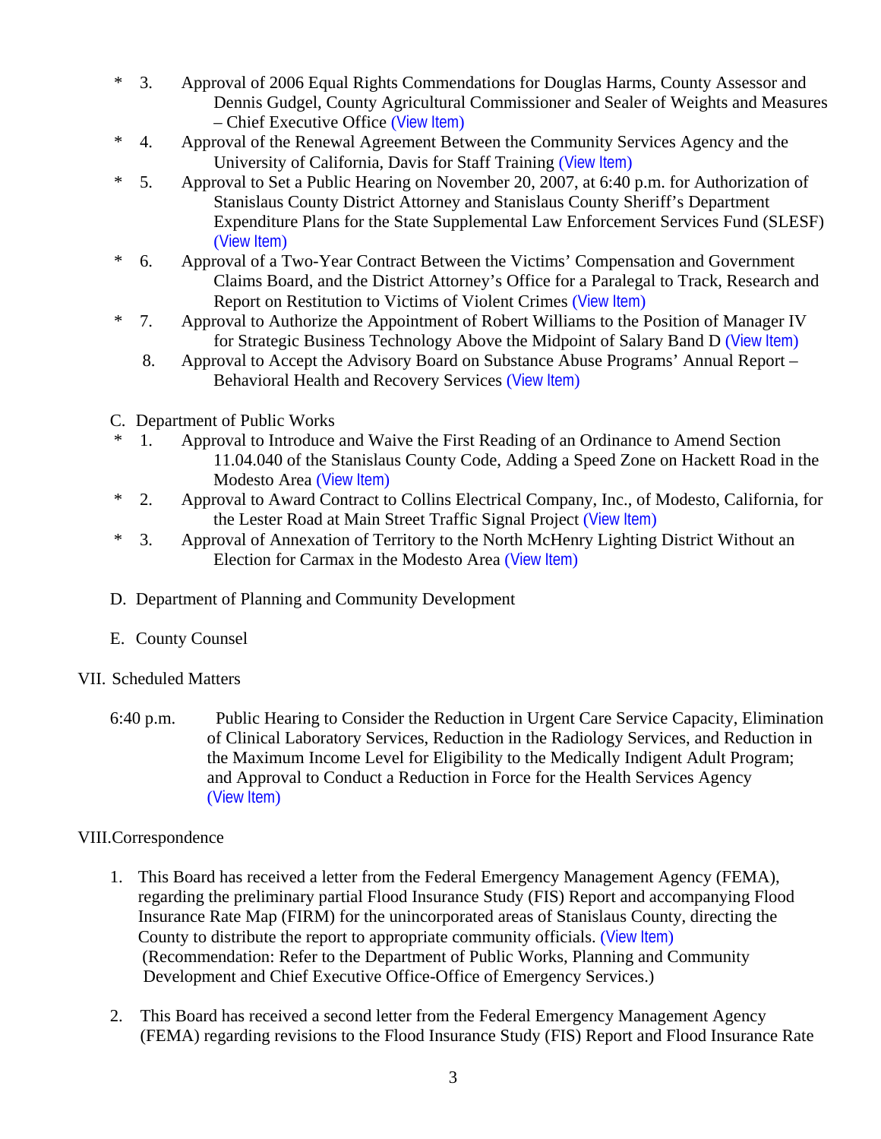- \* 3. Approval of 2006 Equal Rights Commendations for Douglas Harms, County Assessor and Dennis Gudgel, County Agricultural Commissioner and Sealer of Weights and Measures – Chief Executive Office ([View Item](http://www.co.stanislaus.ca.us/bos/agenda/2007/20071016/B03.pdf))
- \* 4. Approval of the Renewal Agreement Between the Community Services Agency and the University of California, Davis for Staff Training ([View Item](http://www.co.stanislaus.ca.us/bos/agenda/2007/20071016/B04.pdf))
- \* 5. Approval to Set a Public Hearing on November 20, 2007, at 6:40 p.m. for Authorization of Stanislaus County District Attorney and Stanislaus County Sheriff's Department Expenditure Plans for the State Supplemental Law Enforcement Services Fund (SLESF) ([View Item](http://www.co.stanislaus.ca.us/bos/agenda/2007/20071016/B05.pdf))
- \* 6. Approval of a Two-Year Contract Between the Victims' Compensation and Government Claims Board, and the District Attorney's Office for a Paralegal to Track, Research and Report on Restitution to Victims of Violent Crimes ([View Item](http://www.co.stanislaus.ca.us/bos/agenda/2007/20071016/B06.pdf))
- \* 7. Approval to Authorize the Appointment of Robert Williams to the Position of Manager IV for Strategic Business Technology Above the Midpoint of Salary Band D ([View Item](http://www.co.stanislaus.ca.us/bos/agenda/2007/20071016/B07.pdf))
	- 8. Approval to Accept the Advisory Board on Substance Abuse Programs' Annual Report Behavioral Health and Recovery Services ([View Item](http://www.co.stanislaus.ca.us/bos/agenda/2007/20071016/B08.pdf))
- C. Department of Public Works
- 1. Approval to Introduce and Waive the First Reading of an Ordinance to Amend Section 11.04.040 of the Stanislaus County Code, Adding a Speed Zone on Hackett Road in the Modesto Area ([View Item](http://www.co.stanislaus.ca.us/bos/agenda/2007/20071016/C01.pdf))
- \* 2. Approval to Award Contract to Collins Electrical Company, Inc., of Modesto, California, for the Lester Road at Main Street Traffic Signal Project ([View Item](http://www.co.stanislaus.ca.us/bos/agenda/2007/20071016/C02.pdf))
- \* 3. Approval of Annexation of Territory to the North McHenry Lighting District Without an Election for Carmax in the Modesto Area ([View Item](http://www.co.stanislaus.ca.us/bos/agenda/2007/20071016/C03.pdf))
- D. Department of Planning and Community Development
- E. County Counsel
- VII. Scheduled Matters
	- 6:40 p.m. Public Hearing to Consider the Reduction in Urgent Care Service Capacity, Elimination of Clinical Laboratory Services, Reduction in the Radiology Services, and Reduction in the Maximum Income Level for Eligibility to the Medically Indigent Adult Program; and Approval to Conduct a Reduction in Force for the Health Services Agency ([View Item](http://www.co.stanislaus.ca.us/bos/agenda/2007/20071016/PH640.pdf))

# VIII.Correspondence

- 1. This Board has received a letter from the Federal Emergency Management Agency (FEMA), regarding the preliminary partial Flood Insurance Study (FIS) Report and accompanying Flood Insurance Rate Map (FIRM) for the unincorporated areas of Stanislaus County, directing the County to distribute the report to appropriate community officials. ([View Item](http://www.co.stanislaus.ca.us/bos/agenda/2007/20071016/Corr01.pdf)) (Recommendation: Refer to the Department of Public Works, Planning and Community Development and Chief Executive Office-Office of Emergency Services.)
- 2. This Board has received a second letter from the Federal Emergency Management Agency (FEMA) regarding revisions to the Flood Insurance Study (FIS) Report and Flood Insurance Rate